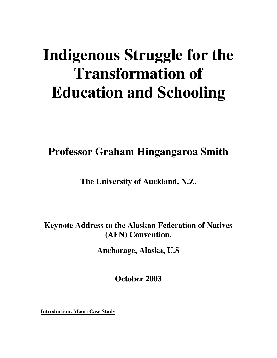# **Indigenous Struggle for the Transformation of Education and Schooling**

**Professor Graham Hingangaroa Smith**

**The University of Auckland, N.Z.**

**Keynote Address to the Alaskan Federation of Natives (AFN) Convention.**

**Anchorage, Alaska, U.S**

**October 2003**

**Introduction: Maori Case Study**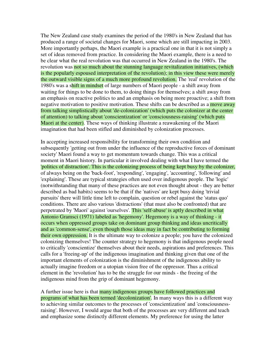The New Zealand case study examines the period of the 1980's in New Zealand that has produced a range of societal changes for Maori, some which are still impacting in 2003. More importantly perhaps, the Maori example is a practical one in that it is not simply a set of ideas removed from practice. In considering the Maori example, there is a need to be clear what the real revolution was that occurred in New Zealand in the 1980's. The revolution was not so much about the stunning language revitalization initiatives, (which is the popularly espoused interpretation of the revolution); in this view these were merely the outward visible signs of a much more profound revolution. The 'real' revolution of the 1980's was a shift in mindset of large numbers of Maori people - a shift away from waiting for things to be done to them, to doing things for themselves; a shift away from an emphasis on reactive politics to and an emphasis on being more proactive; a shift from negative motivation to positive motivation. These shifts can be described as a move away from talking simplistically about 'de-colonization' (which puts the colonizer at the center of attention) to talking about 'conscientization' or 'consciousness-raising' (which puts Maori at the center). These ways of thinking illustrate a reawakening of the Maori imagination that had been stifled and diminished by colonization processes.

In accepting increased responsibility for transforming their own condition and subsequently 'getting out from under the influence of the reproductive forces of dominant society' Maori found a way to get momentum towards change. This was a critical moment in Maori history. In particular it involved dealing with what I have termed the 'politics of distraction'. This is the colonizing process of being kept busy by the colonizer, of always being on the 'back-foot', 'responding', 'engaging', 'accounting', 'following' and 'explaining'. These are typical strategies often used over indigenous people. The 'logic' (notwithstanding that many of these practices are not even thought about - they are better described as bad habits) seems to be that if the 'natives' are kept busy doing 'trivial pursuits' there will little time left to complain, question or rebel against the 'status quo' conditions. There are also various 'distractions' (that must also be confronted) that are perpetrated by 'Maori' against 'ourselves'. This 'self-abuse' is aptly described in what Antonio Gramsci (1971) labeled as 'hegemony'. Hegemony is a way of thinking - it occurs when oppressed groups take on dominant group thinking and ideas uncritically and as 'common-sense', even though those ideas may in fact be contributing to forming their own oppression. It is the ultimate way to colonize a people; you have the colonized colonizing themselves! The counter strategy to hegemony is that indigenous people need to critically 'conscientize' themselves about their needs, aspirations and preferences. This calls for a 'freeing-up' of the indigenous imagination and thinking given that one of the important elements of colonization is the diminishment of the indigenous ability to actually imagine freedom or a utopian vision free of the oppressor. Thus a critical element in the 'revolution' has to be the struggle for our minds - the freeing of the indigenous mind from the grip of dominant hegemony.

A further issue here is that many indigenous groups have followed practices and programs of what has been termed 'decolonization'. In many ways this is a different way to achieving similar outcomes to the processes of 'conscientization' and 'consciousnessraising'. However, I would argue that both of the processes are very different and teach and emphasize some distinctly different elements. My preference for using the latter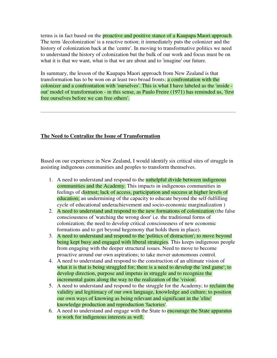terms is in fact based on the **proactive and positive stance of a Kaupapa Maori approach**. The term 'decolonization' is a reactive notion; it immediately puts the colonizer and the history of colonization back at the 'centre'. In moving to transformative politics we need to understand the history of colonization but the bulk of our work and focus must be on what it is that we want, what is that we are about and to 'imagine' our future.

In summary, the lesson of the Kaupapa Maori approach from New Zealand is that transformation has to be won on at least two broad fronts; a confrontation with the colonizer and a confrontation with 'ourselves'. This is what I have labeled as the 'inside out' model of transformation - in this sense, as Paulo Freire (1971) has reminded us, 'first free ourselves before we can free others'.

## **The Need to Centralize the Issue of Transformation**

Based on our experience in New Zealand, I would identify six critical sites of struggle in assisting indigenous communities and peoples to transform themselves.

- 1. A need to understand and respond to the **unhelpful divide between indigenous** communities and the Academy. This impacts in indigenous communities in feelings of distrust; lack of access, participation and success at higher levels of education; an undermining of the capacity to educate beyond the self-fulfilling cycle of educational underachievement and socio-economic marginalization )
- 2. A need to understand and respond to the new formations of colonization (the false consciousness of 'watching the wrong door' i.e. the traditional forms of colonization; the need to develop critical consciousness of new economic formations and to get beyond hegemony that holds them in place).
- 3. A need to understand and respond to the 'politics of distraction'; to move beyond being kept busy and engaged with liberal strategies. This keeps indigenous people from engaging with the deeper structural issues. Need to move to become proactive around our own aspirations; to take mover autonomous control.
- 4. A need to understand and respond to the construction of an ultimate vision of what it is that is being struggled for; there is a need to develop the 'end game'; to develop direction, purpose and impetus in struggle and to recognize the incremental gains along the way to the realization of the 'vision'.
- 5. A need to understand and respond to the struggle for the Academy; to reclaim the validity and legitimacy of our own language, knowledge and culture; to position our own ways of knowing as being relevant and significant in the 'elite' knowledge production and reproduction 'factories'.
- 6. A need to understand and engage with the State to encourage the State apparatus to work for indigenous interests as well.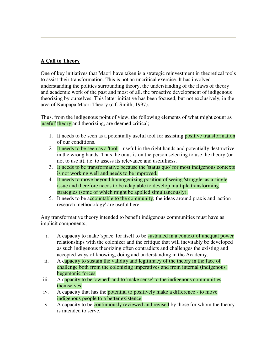# **A Call to Theory**

One of key initiatives that Maori have taken is a strategic reinvestment in theoretical tools to assist their transformation. This is not an uncritical exercise. It has involved understanding the politics surrounding theory, the understanding of the flaws of theory and academic work of the past and most of all, the proactive development of indigenous theorizing by ourselves. This latter initiative has been focused, but not exclusively, in the area of Kaupapa Maori Theory (c.f. Smith, 1997).

Thus, from the indigenous point of view, the following elements of what might count as 'useful' theory and theorizing, are deemed critical;

- 1. It needs to be seen as a potentially useful tool for assisting **positive transformation** of our conditions.
- 2. It needs to be seen as a 'tool' useful in the right hands and potentially destructive in the wrong hands. Thus the onus is on the person selecting to use the theory (or not to use it), i.e. to assess its relevance and usefulness.
- 3. It needs to be transformative because the 'status quo' for most indigenous contexts is not working well and needs to be improved.
- 4. It needs to move beyond homogenizing position of seeing 'struggle' as a single issue and therefore needs to be adaptable to develop multiple transforming strategies (some of which might be applied simultaneously).
- 5. It needs to be accountable to the community; the ideas around praxis and 'action research methodology' are useful here.

Any transformative theory intended to benefit indigenous communities must have as implicit components;

- i. A capacity to make 'space' for itself to be **sustained in a context of unequal power** relationships with the colonizer and the critique that will inevitably be developed as such indigenous theorizing often contradicts and challenges the existing and accepted ways of knowing, doing and understanding in the Academy.
- ii. A capacity to sustain the validity and legitimacy of the theory in the face of challenge both from the colonizing imperatives and from internal (indigenous) hegemonic forces
- iii. A capacity to be 'owned' and to 'make sense' to the indigenous communities themselves
- iv. A capacity that has the **potential to positively make a difference** to move indigenous people to a better existence
- v. A capacity to be **continuously reviewed and revised** by those for whom the theory is intended to serve.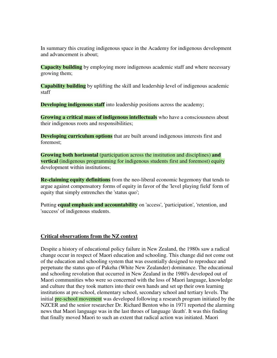In summary this creating indigenous space in the Academy for indigenous development and advancement is about;

**Capacity building** by employing more indigenous academic staff and where necessary growing them;

**Capability building** by uplifting the skill and leadership level of indigenous academic staff

**Developing indigenous staff** into leadership positions across the academy;

**Growing a critical mass of indigenous intellectuals** who have a consciousness about their indigenous roots and responsibilities;

**Developing curriculum options** that are built around indigenous interests first and foremost;

**Growing both horizontal** (participation across the institution and disciplines) **and vertical** (indigenous programming for indigenous students first and foremost) equity development within institutions;

**Re-claiming equity definitions** from the neo-liberal economic hegemony that tends to argue against compensatory forms of equity in favor of the 'level playing field' form of equity that simply entrenches the 'status quo';

Putting **equal emphasis and accountability** on 'access', 'participation', 'retention, and 'success' of indigenous students.

#### **Critical observations from the NZ context**

Despite a history of educational policy failure in New Zealand, the 1980s saw a radical change occur in respect of Maori education and schooling. This change did not come out of the education and schooling system that was essentially designed to reproduce and perpetuate the status quo of Pakeha (White New Zealander) dominance. The educational and schooling revolution that occurred in New Zealand in the 1980's developed out of Maori communities who were so concerned with the loss of Maori language, knowledge and culture that they took matters into their own hands and set up their own learning institutions at pre-school, elementary school, secondary school and tertiary levels. The initial **pre-school movement** was developed following a research program initiated by the NZCER and the senior researcher Dr. Richard Benton who in 1971 reported the alarming news that Maori language was in the last throes of language 'death'. It was this finding that finally moved Maori to such an extent that radical action was initiated. Maori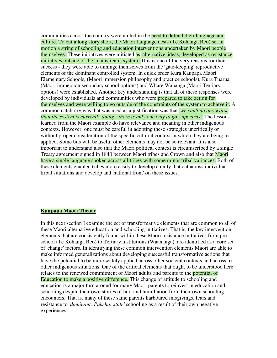communities across the country were united in the need to defend their language and culture. To cut a long story short, the Maori language nests (Te Kohanga Reo) set in motion a string of schooling and education interventions undertaken by Maori people themselves. These initiatives were initiated as 'alternative' ideas, developed as resistance initiatives outside of the 'mainstream' system. This is one of the very reasons for their success - they were able to unhinge themselves from the 'gate-keeping' reproductive elements of the dominant controlled system. In quick order Kura Kaupapa Maori Elementary Schools, (Maori immersion philosophy and practice schools), Kura Tuarua (Maori immersion secondary school options) and Whare Wananga (Maori Tertiary options) were established. Another key understanding is that all of these responses were developed by individuals and communities who were prepared to take action for themselves and were willing to go outside of the constraints of the system to achieve it. A common catch-cry was that was used as a justification was that *'we can't do any worse than the system is currently doing - there is only one way to go - upwards'*. The lessons learned from the Maori example do have relevance and meaning in other indigenous contexts. However, one must be careful in adopting these strategies uncritically or without proper consideration of the specific cultural context in which they are being reapplied. Some bits will be useful other elements may not be so relevant. It is also important to understand also that the Maori political context is circumscribed by a single Treaty agreement signed in 1840 between Maori tribes and Crown and also that Maori have a single language spoken across all tribes with some minor tribal variances. Both of these elements enabled tribes more easily to develop a unity that cut across individual tribal situations and develop and 'national front' on these issues.

#### **Kaupapa Maori Theory**

In this next section I examine the set of transformative elements that are common to all of these Maori alternative education and schooling initiatives. That is, the key intervention elements that are consistently found within these Maori resistance initiatives from preschool (Te Kohanga Reo) to Tertiary institutions (Waananga), are identified as a core set of 'change' factors. In identifying these common intervention elements Maori are able to make informed generalizations about developing successful transformative actions that have the potential to be more widely applied across other societal contexts and across to other indigenous situations. One of the critical elements that ought to be understood here relates to the renewed commitment of Maori adults and parents to the **potential of** Education to make a positive difference. This change of attitude to schooling and education is a major turn around for many Maori parents to reinvest in education and schooling despite their own stories of hurt and humiliation from their own schooling encounters. That is, many of these same parents harboured misgivings, fears and resistance to *'dominant: Pakeha: state'* schooling as a result of their own negative experiences.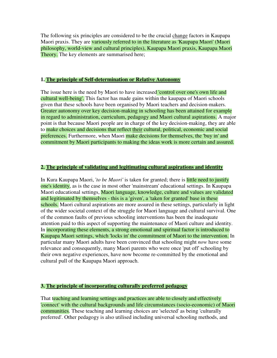The following six principles are considered to be the crucial change factors in Kaupapa Maori praxis. They are variously referred to in the literature as 'Kaupapa Maori' (Maori philosophy, world-view and cultural principles), Kaupapa Maori praxis, Kaupapa Maori Theory. The key elements are summarised here;

#### **1. The principle of Self-determination or Relative Autonomy**

The issue here is the need by Maori to have increased **'control over one's own life and** cultural well-being'. This factor has made gains within the kaupapa of Maori schools given that these schools have been organised by Maori teachers and decision-makers. Greater autonomy over key decision-making in schooling has been attained for example in regard to administration, curriculum, pedagogy and Maori cultural aspirations. A major point is that because Maori people are in charge of the key decision-making, they are able to make choices and decisions that reflect their cultural, political, economic and social preferences. Furthermore, when Maori make decisions for themselves, the 'buy in' and commitment by Maori participants to making the ideas work is more certain and assured.

#### **2. The principle of validating and legitimating cultural aspirations and identity**

In Kura Kaupapa Maori, '*to be Maori'* is taken for granted; there is little need to justify one's identity, as is the case in most other 'mainstream' educational settings. In Kaupapa Maori educational settings, Maori language, knowledge, culture and values are validated and legitimated by themselves - this is a 'given', a 'taken for granted' base in these schools. Maori cultural aspirations are more assured in these settings, particularly in light of the wider societal context of the struggle for Maori language and cultural survival. One of the common faults of previous schooling interventions has been the inadequate attention paid to this aspect of supporting the maintenance of Maori culture and identity. In incorporating these elements, a strong emotional and spiritual factor is introduced to Kaupapa Maori settings, which 'locks in' the commitment of Maori to the intervention. In particular many Maori adults have been convinced that schooling might *now* have some relevance and consequently, many Maori parents who were once 'put off' schooling by their own negative experiences, have now become re-committed by the emotional and cultural pull of the Kaupapa Maori approach.

#### **3. The principle of incorporating culturally preferred pedagogy**

That teaching and learning settings and practices are able to closely and effectively 'connect' with the cultural backgrounds and life circumstances (socio-economic) of Maori communities. These teaching and learning choices are 'selected' as being 'culturally preferred'. Other pedagogy is also utilised including universal schooling methods, and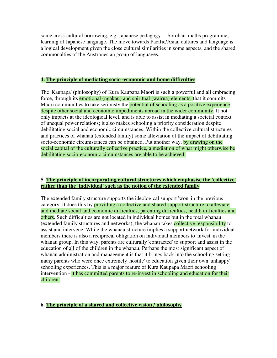some cross-cultural borrowing, e.g. Japanese pedagogy. - 'Soroban' maths programme; learning of Japanese language. The move towards Pacific/Asian cultures and language is a logical development given the close cultural similarities in some aspects, and the shared commonalties of the Austronesian group of languages.

#### **4. The principle of mediating socio -economic and home difficulties**

The 'Kaupapa' (philosophy) of Kura Kaupapa Maori is such a powerful and all embracing force, through its emotional (ngakau) and spiritual (wairua) elements, that it commits Maori communities to take seriously the **potential of schooling as a positive experience** despite other social and economic impediments abroad in the wider community. It not only impacts at the ideological level, and is able to assist in mediating a societal context of unequal power relations; it also makes schooling a priority consideration despite debilitating social and economic circumstances. Within the collective cultural structures and practices of whanau (extended family) some alleviation of the impact of debilitating socio-economic circumstances can be obtained. Put another way, by drawing on the social capital of the culturally collective practice, a mediation of what might otherwise be debilitating socio-economic circumstances are able to be achieved.

## **5. The principle of incorporating cultural structures which emphasise the 'collective' rather than the 'individual' such as the notion of the extended family**

The extended family structure supports the ideological support 'won' in the previous category. It does this by providing a collective and shared support structure to alleviate and mediate social and economic difficulties, parenting difficulties, health difficulties and others. Such difficulties are not located in individual homes but in the total whanau (extended family structures and networks); the whanau takes collective responsibility to assist and intervene. While the whanau structure implies a support network for individual members there is also a reciprocal obligation on individual members to 'invest' in the whanau group. In this way, parents are culturally 'contracted' to support and assist in the education of all of the children in the whanau. Perhaps the most significant aspect of whanau administration and management is that it brings back into the schooling setting many parents who were once extremely 'hostile' to education given their own 'unhappy' schooling experiences. This is a major feature of Kura Kaupapa Maori schooling intervention - it has committed parents to re-invest in schooling and education for their children.

## **6. The principle of a shared and collective vision / philosophy**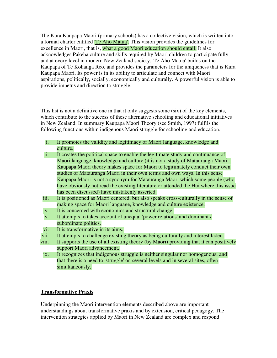The Kura Kaupapa Maori (primary schools) has a collective vision, which is written into a formal charter entitled **Te Aho Matua'**. This vision provides the guidelines for excellence in Maori, that is, what a good Maori education should entail. It also acknowledges Pakeha culture and skills required by Maori children to participate fully and at every level in modern New Zealand society. 'Te Aho Matua' builds on the Kaupapa of Te Kohanga Reo, and provides the parameters for the uniqueness that is Kura Kaupapa Maori. Its power is in its ability to articulate and connect with Maori aspirations, politically, socially, economically and culturally. A powerful vision is able to provide impetus and direction to struggle.

This list is not a definitive one in that it only suggests some (six) of the key elements, which contribute to the success of these alternative schooling and educational initiatives in New Zealand. In summary Kaupapa Maori Theory (see Smith, 1997) fulfils the following functions within indigenous Maori struggle for schooling and education.

- i. It promotes the validity and legitimacy of Maori language, knowledge and culture.
- ii. It creates the political space to enable the legitimate study and continuance of Maori language, knowledge and culture (it is not a study of Matauranga Maori - Kaupapa Maori theory makes space for Maori to legitimately conduct their own studies of Matauranga Maori in their own terms and own ways. In this sense Kaupapa Maori is not a synonym for Matauranga Maori which some people (who have obviously not read the existing literature or attended the Hui where this issue has been discussed) have mistakenly asserted.
- iii. It is positioned as Maori centered, but also speaks cross-culturally in the sense of making space for Maori language, knowledge and culture existence.
- iv. It is concerned with economics and structural change.
- v. It attempts to takes account of unequal 'power relations' and dominant / subordinate politics.
- vi. It is transformative in its aims.
- vii. It attempts to challenge existing theory as being culturally and interest laden.
- viii. It supports the use of all existing theory (by Maori) providing that it can positively support Maori advancement.
- ix. It recognizes that indigenous struggle is neither singular nor homogenous; and that there is a need to 'struggle' on several levels and in several sites, often simultaneously.

# **Transformative Praxis**

Underpinning the Maori intervention elements described above are important understandings about transformative praxis and by extension, critical pedagogy. The intervention strategies applied by Maori in New Zealand are complex and respond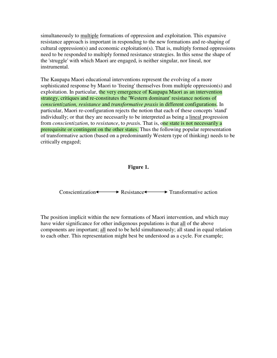simultaneously to multiple formations of oppression and exploitation. This expansive resistance approach is important in responding to the new formations and re-shaping of cultural oppression(s) and economic exploitation(s). That is, multiply formed oppressions need to be responded to multiply formed resistance strategies. In this sense the shape of the 'struggle' with which Maori are engaged, is neither singular, nor lineal, nor instrumental.

The Kaupapa Maori educational interventions represent the evolving of a more sophisticated response by Maori to 'freeing' themselves from multiple oppression(s) and exploitation. In particular, the very emergence of Kaupapa Maori as an intervention strategy, critiques and re-constitutes the 'Western dominant' resistance notions of *conscientization, resistance* and *transformative praxis* in different configurations. In particular, Maori re-configuration rejects the notion that each of these concepts 'stand' individually; or that they are necessarily to be interpreted as being a lineal progression from *conscientization*, to *resistance*, to *praxi*s. That is, one state is not necessarily a prerequisite or contingent on the other states. Thus the following popular representation of transformative action (based on a predominantly Western type of thinking) needs to be critically engaged;

### **Figure 1.**

 $Conscientization \longleftrightarrow Resistance \longleftrightarrow Transformative action$ 

The position implicit within the new formations of Maori intervention, and which may have wider significance for other indigenous populations is that all of the above components are important; all need to be held simultaneously; all stand in equal relation to each other. This representation might best be understood as a cycle. For example;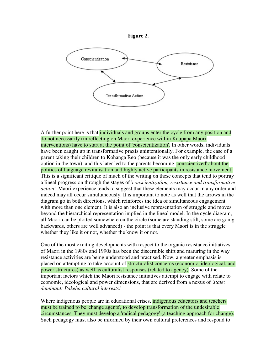



A further point here is that individuals and groups enter the cycle from any position and do not necessarily (in reflecting on Maori experience within Kaupapa Maori interventions) have to start at the point of 'conscientization'. In other words, individuals have been caught up in transformative praxis unintentionally. For example, the case of a parent taking their children to Kohanga Reo (because it was the only early childhood option in the town), and this later led to the parents becoming 'conscientized' about the politics of language revitalisation and highly active participants in resistance movement. This is a significant critique of much of the writing on these concepts that tend to portray a lineal progression through the stages of '*conscientization, resistance and transformative action'*. Maori experience tends to suggest that these elements may occur in any order and indeed may all occur simultaneously. It is important to note as well that the arrows in the diagram go in both directions, which reinforces the idea of simultaneous engagement with more than one element. It is also an inclusive representation of struggle and moves beyond the hierarchical representation implied in the lineal model. In the cycle diagram, all Maori can be plotted somewhere on the circle (some are standing still, some are going backwards, others are well advanced) - the point is that every Maori is in the struggle whether they like it or not, whether the know it or not.

One of the most exciting developments with respect to the organic resistance initiatives of Maori in the 1980s and 1990s has been the discernible shift and maturing in the way resistance activities are being understood and practised. Now, a greater emphasis is placed on attempting to take account of structuralist concerns (economic, ideological, and power structures) as well as culturalist responses (related to agency). Some of the important factors which the Maori resistance initiatives attempt to engage with relate to economic, ideological and power dimensions, that are derived from a nexus of *'state: dominant: Pakeha cultural interests.*'

Where indigenous people are in educational crises, **indigenous educators and teachers** must be trained to be 'change agents', to develop transformation of the undesirable circumstances. They must develop a 'radical pedagogy' (a teaching approach for change). Such pedagogy must also be informed by their own cultural preferences and respond to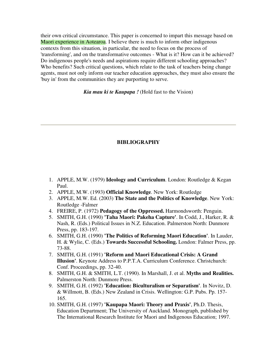their own critical circumstance. This paper is concerned to impart this message based on Maori experience in Aotearoa. I believe there is much to inform other indigenous contexts from this situation, in particular, the need to focus on the process of 'transforming', and on the transformative outcomes - What is it? How can it be achieved? Do indigenous people's needs and aspirations require different schooling approaches? Who benefits? Such critical questions, which relate to the task of teachers being change agents, must not only inform our teacher education approaches, they must also ensure the 'buy in' from the communities they are purporting to serve.

*Kia mau ki te Kaupapa !* (Hold fast to the Vision)

## **BIBLIOGRAPHY**

- 1. APPLE, M.W. (1979) **Ideology and Curriculum**. London: Routledge & Kegan Paul.
- 2. APPLE, M.W. (1993**) Official Knowledge**. New York: Routledge
- 3. APPLE, M.W. Ed. (2003) **The State and the Politics of Knowledge**. New York: Routledge -Falmer
- 4. FREIRE, P. (1972) **Pedagogy of the Oppressed.** Harmondsworth: Penguin.
- 5. SMITH, G.H. (1990) **'Taha Maori: Pakeha Capture'**. In Codd, J., Harker, R. & Nash, R. (Eds.) Political Issues in N.Z. Education. Palmerston North: Dunmore Press, pp. 183-197.
- 6. SMITH, G.H. (1990) **'The Politics of Reforming Maori Education'**. In Lauder, H. & Wylie, C. (Eds.) **Towards Successful Schooling.** London: Falmer Press, pp. 73-88.
- 7. SMITH, G.H. (1991) **'Reform and Maori Educational Crisis: A Grand Illusion'**. Keynote Address to P.P.T.A. Curriculum Conference. Christchurch: Conf. Proceedings, pp. 32-40.
- 8. SMITH, G.H. & SMITH, L.T. (1990). In Marshall, J. et al. **Myths and Realities.** Palmerston North: Dunmore Press.
- 9. SMITH, G.H. (1992) **'Education: Biculturalism or Separatism'**. In Novitz, D. & Willmott, B. (Eds.) New Zealand in Crisis. Wellington: G.P. Pubs. Pp. 157- 165.
- 10. SMITH, G.H. (1997) **'Kaupapa Maori: Theory and Praxis'**, Ph.D. Thesis, Education Department; The University of Auckland. Monograph, published by The International Research Institute for Maori and Indigenous Education; 1997.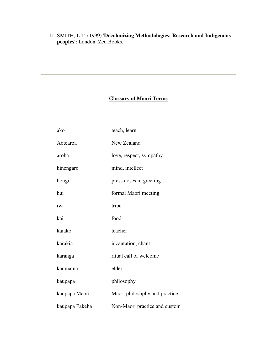11. SMITH, L.T. (1999) '**Decolonizing Methodologies: Research and Indigenous peoples'**; London: Zed Books.

# **Glossary of Maori Terms**

| ako            | teach, learn                  |
|----------------|-------------------------------|
| Aotearoa       | New Zealand                   |
| aroha          | love, respect, sympathy       |
| hinengaro      | mind, intellect               |
| hongi          | press noses in greeting       |
| hui            | formal Maori meeting          |
| iwi            | tribe                         |
| kai            | food                          |
| kaiako         | teacher                       |
| karakia        | incantation, chant            |
| karanga        | ritual call of welcome        |
| kaumatua       | elder                         |
| kaupapa        | philosophy                    |
| kaupapa Maori  | Maori philosophy and practice |
| kaupapa Pakeha | Non-Maori practice and custom |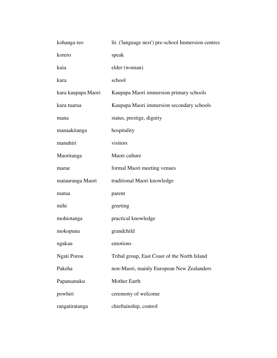| kohanga reo        | lit. ('language nest') pre-school Immersion centres |  |
|--------------------|-----------------------------------------------------|--|
| korero             | speak                                               |  |
| kuia               | elder (woman)                                       |  |
| kura               | school                                              |  |
| kura kaupapa Maori | Kaupapa Maori immersion primary schools             |  |
| kura tuarua        | Kaupapa Maori immersion secondary schools           |  |
| mana               | status, prestige, dignity                           |  |
| manaakitanga       | hospitality                                         |  |
| manuhiri           | visitors                                            |  |
| Maoritanga         | Maori culture                                       |  |
| marae              | formal Maori meeting venues                         |  |
| matauranga Maori   | traditional Maori knowledge                         |  |
| matua              | parent                                              |  |
| mihi               | greeting                                            |  |
| mohiotanga         | practical knowledge                                 |  |
| mokopuna           | grandchild                                          |  |
| ngakau             | emotions                                            |  |
| Ngati Porou        | Tribal group, East Coast of the North Island        |  |
| Pakeha             | non-Maori, mainly European New Zealanders           |  |
| Papatuanuku        | Mother Earth                                        |  |
| powhiri            | ceremony of welcome                                 |  |
| rangatiratanga     | chieftainship, control                              |  |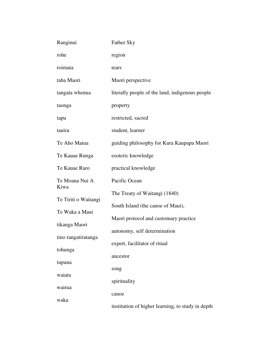| Ranginui                               | <b>Father Sky</b>                                 |
|----------------------------------------|---------------------------------------------------|
| rohe                                   | region                                            |
| roimata                                | tears                                             |
| taha Maori                             | Maori perspective                                 |
| tangata whenua                         | literally people of the land, indigenous people   |
| taonga                                 | property                                          |
| tapu                                   | restricted, sacred                                |
| tauira                                 | student, learner                                  |
| Te Aho Matua                           | guiding philosophy for Kura Kaupapa Maori         |
| Te Kauae Runga                         | esoteric knowledge                                |
| Te Kauae Raro                          | practical knowledge                               |
| Te Moana Nui A<br>Kiwa                 | Pacific Ocean                                     |
| Te Tiriti o Waitangi<br>Te Waka a Maui | The Treaty of Waitangi (1840)                     |
|                                        | South Island (the canoe of Maui),                 |
| tikanga Maori                          | Maori protocol and customary practice             |
| tino rangatiratanga                    | autonomy, self determination                      |
| tohunga                                | expert, facilitator of ritual                     |
| tupuna                                 | ancestor                                          |
| waiata                                 | song                                              |
| wairua                                 | spirituality                                      |
| waka                                   | canoe                                             |
|                                        | institution of higher learning, to study in depth |